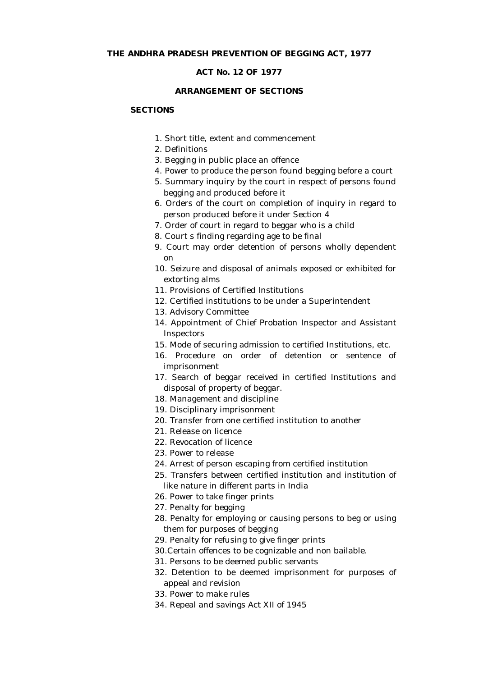### **ACT No. 12 OF 1977**

## **ARRANGEMENT OF SECTIONS**

# **SECTIONS**

- 1. Short title, extent and commencement
- 2. Definitions
- 3. Begging in public place an offence
- 4. Power to produce the person found begging before a court
- 5. Summary inquiry by the court in respect of persons found begging and produced before it
- 6. Orders of the court on completion of inquiry in regard to person produced before it under Section 4
- 7. Order of court in regard to beggar who is a child
- 8. Court s finding regarding age to be final
- 9. Court may order detention of persons wholly dependent on
- 10. Seizure and disposal of animals exposed or exhibited for extorting alms
- 11. Provisions of Certified Institutions
- 12. Certified institutions to be under a Superintendent
- 13. Advisory Committee
- 14. Appointment of Chief Probation Inspector and Assistant **Inspectors**
- 15. Mode of securing admission to certified Institutions, etc.
- 16. Procedure on order of detention or sentence of imprisonment
- 17. Search of beggar received in certified Institutions and disposal of property of beggar.
- 18. Management and discipline
- 19. Disciplinary imprisonment
- 20. Transfer from one certified institution to another
- 21. Release on licence
- 22. Revocation of licence
- 23. Power to release
- 24. Arrest of person escaping from certified institution
- 25. Transfers between certified institution and institution of like nature in different parts in India
- 26. Power to take finger prints
- 27. Penalty for begging
- 28. Penalty for employing or causing persons to beg or using them for purposes of begging
- 29. Penalty for refusing to give finger prints
- 30.Certain offences to be cognizable and non bailable.
- 31. Persons to be deemed public servants
- 32. Detention to be deemed imprisonment for purposes of appeal and revision
- 33. Power to make rules
- 34. Repeal and savings Act XII of 1945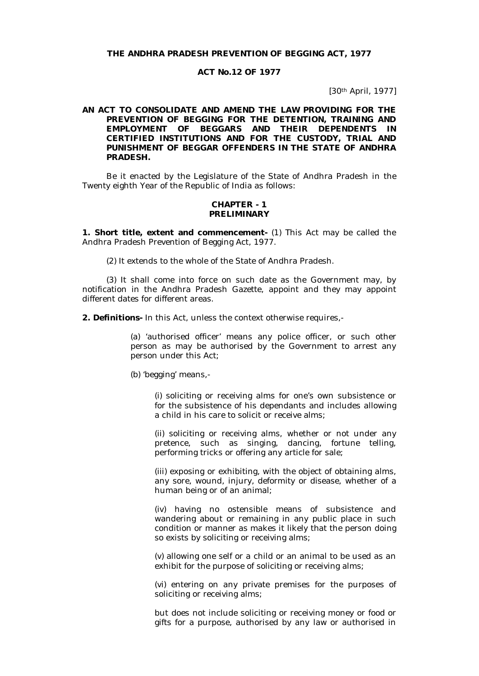### **THE ANDHRA PRADESH PREVENTION OF BEGGING ACT, 1977**

#### **ACT No.12 OF 1977**

[30th April, 1977]

### **AN ACT TO CONSOLIDATE AND AMEND THE LAW PROVIDING FOR THE PREVENTION OF BEGGING FOR THE DETENTION, TRAINING AND EMPLOYMENT OF BEGGARS AND THEIR DEPENDENTS IN CERTIFIED INSTITUTIONS AND FOR THE CUSTODY, TRIAL AND PUNISHMENT OF BEGGAR OFFENDERS IN THE STATE OF ANDHRA PRADESH.**

Be it enacted by the Legislature of the State of Andhra Pradesh in the Twenty eighth Year of the Republic of India as follows:

### **CHAPTER - 1 PRELIMINARY**

**1. Short title, extent and commencement-** (1) This Act may be called the Andhra Pradesh Prevention of Begging Act, 1977.

(2) It extends to the whole of the State of Andhra Pradesh.

(3) It shall come into force on such date as the Government may, by notification in the Andhra Pradesh Gazette, appoint and they may appoint different dates for different areas.

**2. Definitions-** In this Act, unless the context otherwise requires,-

(a) 'authorised officer' means any police officer, or such other person as may be authorised by the Government to arrest any person under this Act;

(b) 'begging' means,-

(i) soliciting or receiving alms for one's own subsistence or for the subsistence of his dependants and includes allowing a child in his care to solicit or receive alms;

(ii) soliciting or receiving alms, whether or not under any pretence, such as singing, dancing, fortune telling, performing tricks or offering any article for sale;

(iii) exposing or exhibiting, with the object of obtaining alms, any sore, wound, injury, deformity or disease, whether of a human being or of an animal;

(iv) having no ostensible means of subsistence and wandering about or remaining in any public place in such condition or manner as makes it likely that the person doing so exists by soliciting or receiving alms;

(v) allowing one self or a child or an animal to be used as an exhibit for the purpose of soliciting or receiving alms;

(vi) entering on any private premises for the purposes of soliciting or receiving alms;

but does not include soliciting or receiving money or food or gifts for a purpose, authorised by any law or authorised in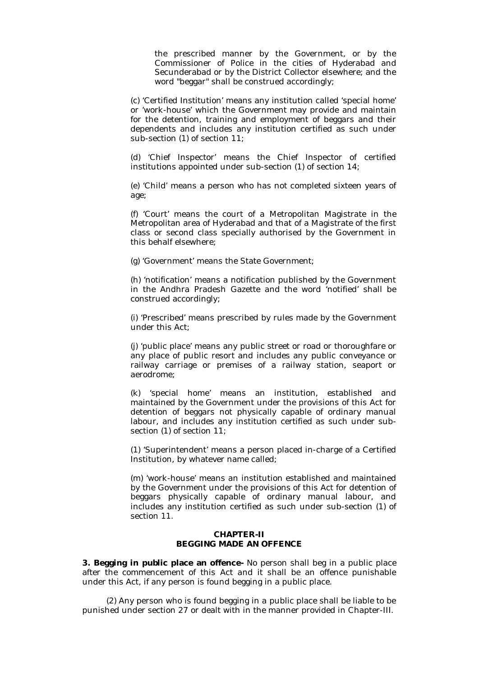the prescribed manner by the Government, or by the Commissioner of Police in the cities of Hyderabad and Secunderabad or by the District Collector elsewhere; and the word "beggar" shall be construed accordingly;

(c) 'Certified Institution' means any institution called 'special home' or 'work-house' which the Government may provide and maintain for the detention, training and employment of beggars and their dependents and includes any institution certified as such under sub-section (1) of section 11;

(d) 'Chief Inspector' means the Chief Inspector of certified institutions appointed under sub-section (1) of section 14;

(e) 'Child' means a person who has not completed sixteen years of age;

(f) 'Court' means the court of a Metropolitan Magistrate in the Metropolitan area of Hyderabad and that of a Magistrate of the first class or second class specially authorised by the Government in this behalf elsewhere;

(g) 'Government' means the State Government;

(h) 'notification' means a notification published by the Government in the Andhra Pradesh Gazette and the word 'notified' shall be construed accordingly;

(i) 'Prescribed' means prescribed by rules made by the Government under this Act;

(j) 'public place' means any public street or road or thoroughfare or any place of public resort and includes any public conveyance or railway carriage or premises of a railway station, seaport or aerodrome;

(k) 'special home' means an institution, established and maintained by the Government under the provisions of this Act for detention of beggars not physically capable of ordinary manual labour, and includes any institution certified as such under subsection (1) of section 11;

(1) 'Superintendent' means a person placed in-charge of a Certified Institution, by whatever name called;

(m) 'work-house' means an institution established and maintained by the Government under the provisions of this Act for detention of beggars physically capable of ordinary manual labour, and includes any institution certified as such under sub-section (1) of section 11.

## **CHAPTER-II BEGGING MADE AN OFFENCE**

**3. Begging in public place an offence-** No person shall beg in a public place after the commencement of this Act and it shall be an offence punishable under this Act, if any person is found begging in a public place.

(2) Any person who is found begging in a public place shall be liable to be punished under section 27 or dealt with in the manner provided in Chapter-III.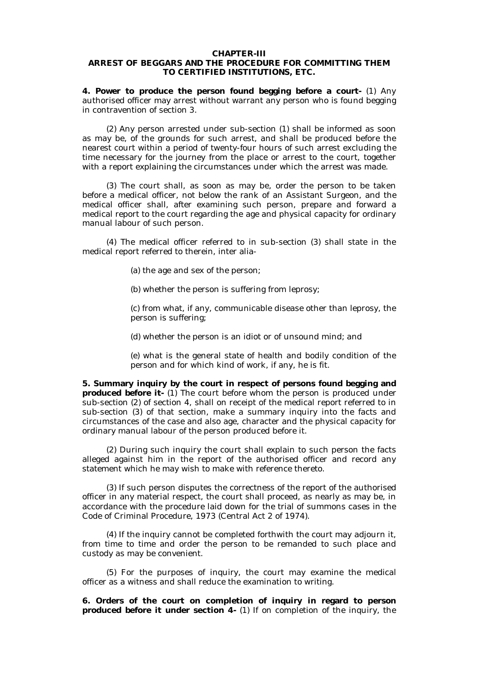#### **CHAPTER-III**

# **ARREST OF BEGGARS AND THE PROCEDURE FOR COMMITTING THEM TO CERTIFIED INSTITUTIONS, ETC.**

**4. Power to produce the person found begging before a court-** (1) Any authorised officer may arrest without warrant any person who is found begging in contravention of section 3.

(2) Any person arrested under sub-section (1) shall be informed as soon as may be, of the grounds for such arrest, and shall be produced before the nearest court within a period of twenty-four hours of such arrest excluding the time necessary for the journey from the place or arrest to the court, together with a report explaining the circumstances under which the arrest was made.

(3) The court shall, as soon as may be, order the person to be taken before a medical officer, not below the rank of an Assistant Surgeon, and the medical officer shall, after examining such person, prepare and forward a medical report to the court regarding the age and physical capacity for ordinary manual labour of such person.

(4) The medical officer referred to in sub-section (3) shall state in the medical report referred to therein, inter alia-

(a) the age and sex of the person;

(b) whether the person is suffering from leprosy;

(c) from what, if any, communicable disease other than leprosy, the person is suffering;

(d) whether the person is an idiot or of unsound mind; and

(e) what is the general state of health and bodily condition of the person and for which kind of work, if any, he is fit.

**5. Summary inquiry by the court in respect of persons found begging and produced before it-** (1) The court before whom the person is produced under sub-section (2) of section 4, shall on receipt of the medical report referred to in sub-section (3) of that section, make a summary inquiry into the facts and circumstances of the case and also age, character and the physical capacity for ordinary manual labour of the person produced before it.

(2) During such inquiry the court shall explain to such person the facts alleged against him in the report of the authorised officer and record any statement which he may wish to make with reference thereto.

(3) If such person disputes the correctness of the report of the authorised officer in any material respect, the court shall proceed, as nearly as may be, in accordance with the procedure laid down for the trial of summons cases in the Code of Criminal Procedure, 1973 (Central Act 2 of 1974).

(4) If the inquiry cannot be completed forthwith the court may adjourn it, from time to time and order the person to be remanded to such place and custody as may be convenient.

(5) For the purposes of inquiry, the court may examine the medical officer as a witness and shall reduce the examination to writing.

**6. Orders of the court on completion of inquiry in regard to person produced before it under section 4-** (1) If on completion of the inquiry, the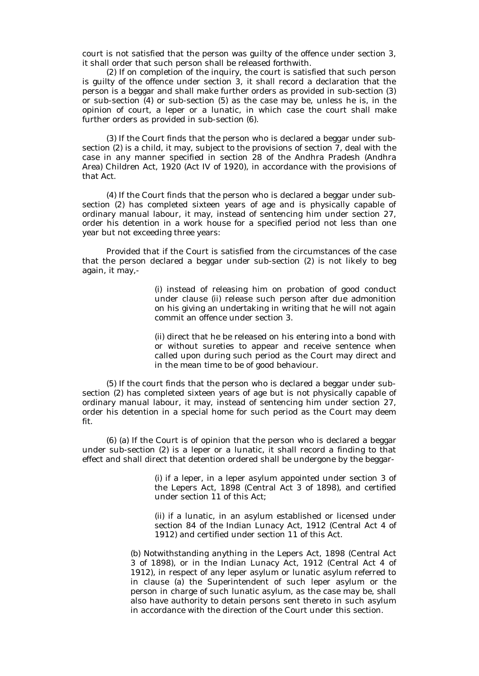court is not satisfied that the person was guilty of the offence under section 3, it shall order that such person shall be released forthwith.

(2) If on completion of the inquiry, the court is satisfied that such person is guilty of the offence under section 3, it shall record a declaration that the person is a beggar and shall make further orders as provided in sub-section (3) or sub-section (4) or sub-section (5) as the case may be, unless he is, in the opinion of court, a leper or a lunatic, in which case the court shall make further orders as provided in sub-section (6).

(3) If the Court finds that the person who is declared a beggar under subsection (2) is a child, it may, subject to the provisions of section 7, deal with the case in any manner specified in section 28 of the Andhra Pradesh (Andhra Area) Children Act, 1920 (Act IV of 1920), in accordance with the provisions of that Act.

(4) If the Court finds that the person who is declared a beggar under subsection (2) has completed sixteen years of age and is physically capable of ordinary manual labour, it may, instead of sentencing him under section 27, order his detention in a work house for a specified period not less than one year but not exceeding three years:

Provided that if the Court is satisfied from the circumstances of the case that the person declared a beggar under sub-section (2) is not likely to beg again, it may,-

> (i) instead of releasing him on probation of good conduct under clause (ii) release such person after due admonition on his giving an undertaking in writing that he will not again commit an offence under section 3.

> (ii) direct that he be released on his entering into a bond with or without sureties to appear and receive sentence when called upon during such period as the Court may direct and in the mean time to be of good behaviour.

(5) If the court finds that the person who is declared a beggar under subsection (2) has completed sixteen years of age but is not physically capable of ordinary manual labour, it may, instead of sentencing him under section 27, order his detention in a special home for such period as the Court may deem fit.

(6) (a) If the Court is of opinion that the person who is declared a beggar under sub-section (2) is a leper or a lunatic, it shall record a finding to that effect and shall direct that detention ordered shall be undergone by the beggar-

> (i) if a leper, in a leper asylum appointed under section 3 of the Lepers Act, 1898 (Central Act 3 of 1898), and certified under section 11 of this Act;

> (ii) if a lunatic, in an asylum established or licensed under section 84 of the Indian Lunacy Act, 1912 (Central Act 4 of 1912) and certified under section 11 of this Act.

(b) Notwithstanding anything in the Lepers Act, 1898 (Central Act 3 of 1898), or in the Indian Lunacy Act, 1912 (Central Act 4 of 1912), in respect of any leper asylum or lunatic asylum referred to in clause (a) the Superintendent of such leper asylum or the person in charge of such lunatic asylum, as the case may be, shall also have authority to detain persons sent thereto in such asylum in accordance with the direction of the Court under this section.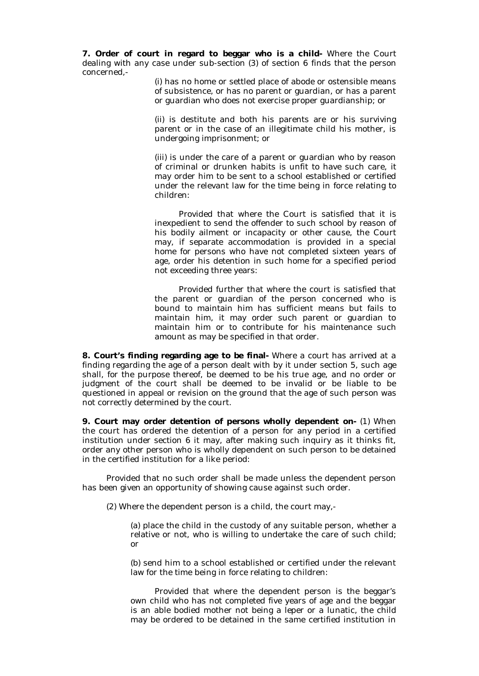**7. Order of court in regard to beggar who is a child-** Where the Court dealing with any case under sub-section (3) of section 6 finds that the person concerned,-

> (i) has no home or settled place of abode or ostensible means of subsistence, or has no parent or guardian, or has a parent or guardian who does not exercise proper guardianship; or

> (ii) is destitute and both his parents are or his surviving parent or in the case of an illegitimate child his mother, is undergoing imprisonment; or

> (iii) is under the care of a parent or guardian who by reason of criminal or drunken habits is unfit to have such care, it may order him to be sent to a school established or certified under the relevant law for the time being in force relating to children:

> Provided that where the Court is satisfied that it is inexpedient to send the offender to such school by reason of his bodily ailment or incapacity or other cause, the Court may, if separate accommodation is provided in a special home for persons who have not completed sixteen years of age, order his detention in such home for a specified period not exceeding three years:

> Provided further that where the court is satisfied that the parent or guardian of the person concerned who is bound to maintain him has sufficient means but fails to maintain him, it may order such parent or guardian to maintain him or to contribute for his maintenance such amount as may be specified in that order.

**8. Court's finding regarding age to be final-** Where a court has arrived at a finding regarding the age of a person dealt with by it under section 5, such age shall, for the purpose thereof, be deemed to be his true age, and no order or judgment of the court shall be deemed to be invalid or be liable to be questioned in appeal or revision on the ground that the age of such person was not correctly determined by the court.

**9. Court may order detention of persons wholly dependent on-** (1) When the court has ordered the detention of a person for any period in a certified institution under section 6 it may, after making such inquiry as it thinks fit, order any other person who is wholly dependent on such person to be detained in the certified institution for a like period:

Provided that no such order shall be made unless the dependent person has been given an opportunity of showing cause against such order.

(2) Where the dependent person is a child, the court may,-

(a) place the child in the custody of any suitable person, whether a relative or not, who is willing to undertake the care of such child; or

(b) send him to a school established or certified under the relevant law for the time being in force relating to children:

Provided that where the dependent person is the beggar's own child who has not completed five years of age and the beggar is an able bodied mother not being a leper or a lunatic, the child may be ordered to be detained in the same certified institution in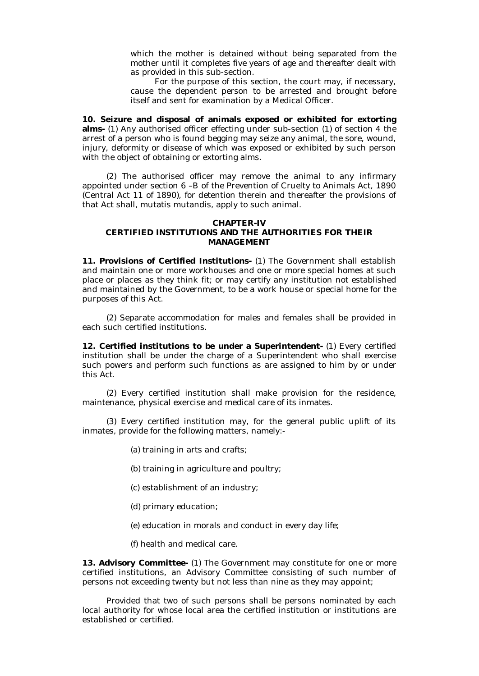which the mother is detained without being separated from the mother until it completes five years of age and thereafter dealt with as provided in this sub-section.

For the purpose of this section, the court may, if necessary, cause the dependent person to be arrested and brought before itself and sent for examination by a Medical Officer.

**10. Seizure and disposal of animals exposed or exhibited for extorting alms-** (1) Any authorised officer effecting under sub-section (1) of section 4 the arrest of a person who is found begging may seize any animal, the sore, wound, injury, deformity or disease of which was exposed or exhibited by such person with the object of obtaining or extorting alms.

(2) The authorised officer may remove the animal to any infirmary appointed under section 6 –B of the Prevention of Cruelty to Animals Act, 1890 (Central Act 11 of 1890), for detention therein and thereafter the provisions of that Act shall, mutatis mutandis, apply to such animal.

### **CHAPTER-IV CERTIFIED INSTITUTIONS AND THE AUTHORITIES FOR THEIR MANAGEMENT**

**11. Provisions of Certified Institutions-** (1) The Government shall establish and maintain one or more workhouses and one or more special homes at such place or places as they think fit; or may certify any institution not established and maintained by the Government, to be a work house or special home for the purposes of this Act.

(2) Separate accommodation for males and females shall be provided in each such certified institutions.

**12. Certified institutions to be under a Superintendent-** (1) Every certified institution shall be under the charge of a Superintendent who shall exercise such powers and perform such functions as are assigned to him by or under this Act.

(2) Every certified institution shall make provision for the residence, maintenance, physical exercise and medical care of its inmates.

(3) Every certified institution may, for the general public uplift of its inmates, provide for the following matters, namely:-

- (a) training in arts and crafts;
- (b) training in agriculture and poultry;
- (c) establishment of an industry;
- (d) primary education;
- (e) education in morals and conduct in every day life;
- (f) health and medical care.

**13. Advisory Committee-** (1) The Government may constitute for one or more certified institutions, an Advisory Committee consisting of such number of persons not exceeding twenty but not less than nine as they may appoint;

Provided that two of such persons shall be persons nominated by each local authority for whose local area the certified institution or institutions are established or certified.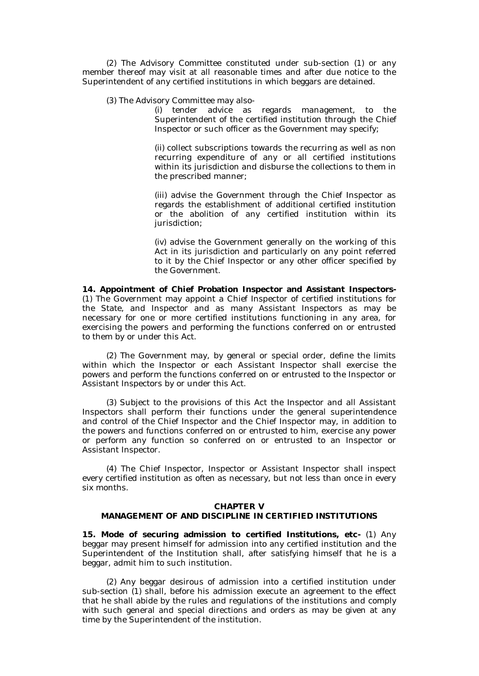(2) The Advisory Committee constituted under sub-section (1) or any member thereof may visit at all reasonable times and after due notice to the Superintendent of any certified institutions in which beggars are detained.

(3) The Advisory Committee may also-

(i) tender advice as regards management, to the Superintendent of the certified institution through the Chief Inspector or such officer as the Government may specify;

(ii) collect subscriptions towards the recurring as well as non recurring expenditure of any or all certified institutions within its jurisdiction and disburse the collections to them in the prescribed manner;

(iii) advise the Government through the Chief Inspector as regards the establishment of additional certified institution or the abolition of any certified institution within its jurisdiction;

(iv) advise the Government generally on the working of this Act in its jurisdiction and particularly on any point referred to it by the Chief Inspector or any other officer specified by the Government.

**14. Appointment of Chief Probation Inspector and Assistant Inspectors-** (1) The Government may appoint a Chief Inspector of certified institutions for the State, and Inspector and as many Assistant Inspectors as may be necessary for one or more certified institutions functioning in any area, for exercising the powers and performing the functions conferred on or entrusted to them by or under this Act.

(2) The Government may, by general or special order, define the limits within which the Inspector or each Assistant Inspector shall exercise the powers and perform the functions conferred on or entrusted to the Inspector or Assistant Inspectors by or under this Act.

(3) Subject to the provisions of this Act the Inspector and all Assistant Inspectors shall perform their functions under the general superintendence and control of the Chief Inspector and the Chief Inspector may, in addition to the powers and functions conferred on or entrusted to him, exercise any power or perform any function so conferred on or entrusted to an Inspector or Assistant Inspector.

(4) The Chief Inspector, Inspector or Assistant Inspector shall inspect every certified institution as often as necessary, but not less than once in every six months.

### **CHAPTER V**

### **MANAGEMENT OF AND DISCIPLINE IN CERTIFIED INSTITUTIONS**

**15. Mode of securing admission to certified Institutions, etc-** (1) Any beggar may present himself for admission into any certified institution and the Superintendent of the Institution shall, after satisfying himself that he is a beggar, admit him to such institution.

(2) Any beggar desirous of admission into a certified institution under sub-section (1) shall, before his admission execute an agreement to the effect that he shall abide by the rules and regulations of the institutions and comply with such general and special directions and orders as may be given at any time by the Superintendent of the institution.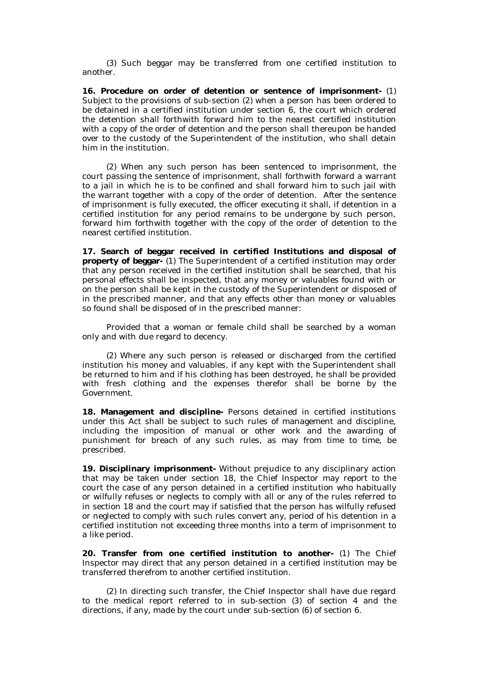(3) Such beggar may be transferred from one certified institution to another.

**16. Procedure on order of detention or sentence of imprisonment-** (1) Subject to the provisions of sub-section (2) when a person has been ordered to be detained in a certified institution under section 6, the court which ordered the detention shall forthwith forward him to the nearest certified institution with a copy of the order of detention and the person shall thereupon be handed over to the custody of the Superintendent of the institution, who shall detain him in the institution.

(2) When any such person has been sentenced to imprisonment, the court passing the sentence of imprisonment, shall forthwith forward a warrant to a jail in which he is to be confined and shall forward him to such jail with the warrant together with a copy of the order of detention. After the sentence of imprisonment is fully executed, the officer executing it shall, if detention in a certified institution for any period remains to be undergone by such person, forward him forthwith together with the copy of the order of detention to the nearest certified institution.

**17. Search of beggar received in certified Institutions and disposal of property of beggar-** (1) The Superintendent of a certified institution may order that any person received in the certified institution shall be searched, that his personal effects shall be inspected, that any money or valuables found with or on the person shall be kept in the custody of the Superintendent or disposed of in the prescribed manner, and that any effects other than money or valuables so found shall be disposed of in the prescribed manner:

Provided that a woman or female child shall be searched by a woman only and with due regard to decency.

(2) Where any such person is released or discharged from the certified institution his money and valuables, if any kept with the Superintendent shall be returned to him and if his clothing has been destroyed, he shall be provided with fresh clothing and the expenses therefor shall be borne by the Government.

**18. Management and discipline-** Persons detained in certified institutions under this Act shall be subject to such rules of management and discipline, including the imposition of manual or other work and the awarding of punishment for breach of any such rules, as may from time to time, be prescribed.

**19. Disciplinary imprisonment-** Without prejudice to any disciplinary action that may be taken under section 18, the Chief Inspector may report to the court the case of any person detained in a certified institution who habitually or wilfully refuses or neglects to comply with all or any of the rules referred to in section 18 and the court may if satisfied that the person has wilfully refused or neglected to comply with such rules convert any, period of his detention in a certified institution not exceeding three months into a term of imprisonment to a like period.

**20. Transfer from one certified institution to another-** (1) The Chief Inspector may direct that any person detained in a certified institution may be transferred therefrom to another certified institution.

(2) In directing such transfer, the Chief Inspector shall have due regard to the medical report referred to in sub-section (3) of section 4 and the directions, if any, made by the court under sub-section (6) of section 6.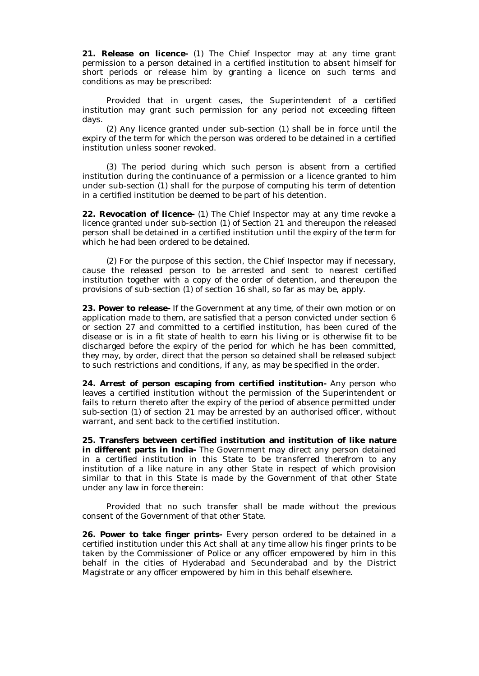**21. Release on licence-** (1) The Chief Inspector may at any time grant permission to a person detained in a certified institution to absent himself for short periods or release him by granting a licence on such terms and conditions as may be prescribed:

Provided that in urgent cases, the Superintendent of a certified institution may grant such permission for any period not exceeding fifteen days.

(2) Any licence granted under sub-section (1) shall be in force until the expiry of the term for which the person was ordered to be detained in a certified institution unless sooner revoked.

(3) The period during which such person is absent from a certified institution during the continuance of a permission or a licence granted to him under sub-section (1) shall for the purpose of computing his term of detention in a certified institution be deemed to be part of his detention.

**22. Revocation of licence-** (1) The Chief Inspector may at any time revoke a licence granted under sub-section (1) of Section 21 and thereupon the released person shall be detained in a certified institution until the expiry of the term for which he had been ordered to be detained.

(2) For the purpose of this section, the Chief Inspector may if necessary, cause the released person to be arrested and sent to nearest certified institution together with a copy of the order of detention, and thereupon the provisions of sub-section (1) of section 16 shall, so far as may be, apply.

**23. Power to release-** If the Government at any time, of their own motion or on application made to them, are satisfied that a person convicted under section 6 or section 27 and committed to a certified institution, has been cured of the disease or is in a fit state of health to earn his living or is otherwise fit to be discharged before the expiry of the period for which he has been committed, they may, by order, direct that the person so detained shall be released subject to such restrictions and conditions, if any, as may be specified in the order.

**24. Arrest of person escaping from certified institution-** Any person who leaves a certified institution without the permission of the Superintendent or fails to return thereto after the expiry of the period of absence permitted under sub-section (1) of section 21 may be arrested by an authorised officer, without warrant, and sent back to the certified institution.

**25. Transfers between certified institution and institution of like nature in different parts in India-** The Government may direct any person detained in a certified institution in this State to be transferred therefrom to any institution of a like nature in any other State in respect of which provision similar to that in this State is made by the Government of that other State under any law in force therein:

Provided that no such transfer shall be made without the previous consent of the Government of that other State.

**26. Power to take finger prints-** Every person ordered to be detained in a certified institution under this Act shall at any time allow his finger prints to be taken by the Commissioner of Police or any officer empowered by him in this behalf in the cities of Hyderabad and Secunderabad and by the District Magistrate or any officer empowered by him in this behalf elsewhere.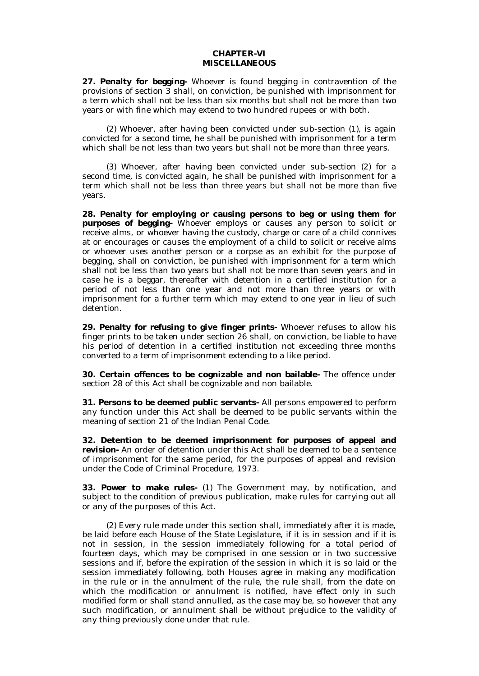### **CHAPTER-VI MISCELLANEOUS**

**27. Penalty for begging-** Whoever is found begging in contravention of the provisions of section 3 shall, on conviction, be punished with imprisonment for a term which shall not be less than six months but shall not be more than two years or with fine which may extend to two hundred rupees or with both.

(2) Whoever, after having been convicted under sub-section (1), is again convicted for a second time, he shall be punished with imprisonment for a term which shall be not less than two years but shall not be more than three years.

(3) Whoever, after having been convicted under sub-section (2) for a second time, is convicted again, he shall be punished with imprisonment for a term which shall not be less than three years but shall not be more than five years.

**28. Penalty for employing or causing persons to beg or using them for purposes of begging-** Whoever employs or causes any person to solicit or receive alms, or whoever having the custody, charge or care of a child connives at or encourages or causes the employment of a child to solicit or receive alms or whoever uses another person or a corpse as an exhibit for the purpose of begging, shall on conviction, be punished with imprisonment for a term which shall not be less than two years but shall not be more than seven years and in case he is a beggar, thereafter with detention in a certified institution for a period of not less than one year and not more than three years or with imprisonment for a further term which may extend to one year in lieu of such detention.

**29. Penalty for refusing to give finger prints-** Whoever refuses to allow his finger prints to be taken under section 26 shall, on conviction, be liable to have his period of detention in a certified institution not exceeding three months converted to a term of imprisonment extending to a like period.

**30. Certain offences to be cognizable and non bailable-** The offence under section 28 of this Act shall be cognizable and non bailable.

**31. Persons to be deemed public servants-** All persons empowered to perform any function under this Act shall be deemed to be public servants within the meaning of section 21 of the Indian Penal Code.

**32. Detention to be deemed imprisonment for purposes of appeal and revision-** An order of detention under this Act shall be deemed to be a sentence of imprisonment for the same period, for the purposes of appeal and revision under the Code of Criminal Procedure, 1973.

**33. Power to make rules-** (1) The Government may, by notification, and subject to the condition of previous publication, make rules for carrying out all or any of the purposes of this Act.

(2) Every rule made under this section shall, immediately after it is made, be laid before each House of the State Legislature, if it is in session and if it is not in session, in the session immediately following for a total period of fourteen days, which may be comprised in one session or in two successive sessions and if, before the expiration of the session in which it is so laid or the session immediately following, both Houses agree in making any modification in the rule or in the annulment of the rule, the rule shall, from the date on which the modification or annulment is notified, have effect only in such modified form or shall stand annulled, as the case may be, so however that any such modification, or annulment shall be without prejudice to the validity of any thing previously done under that rule.